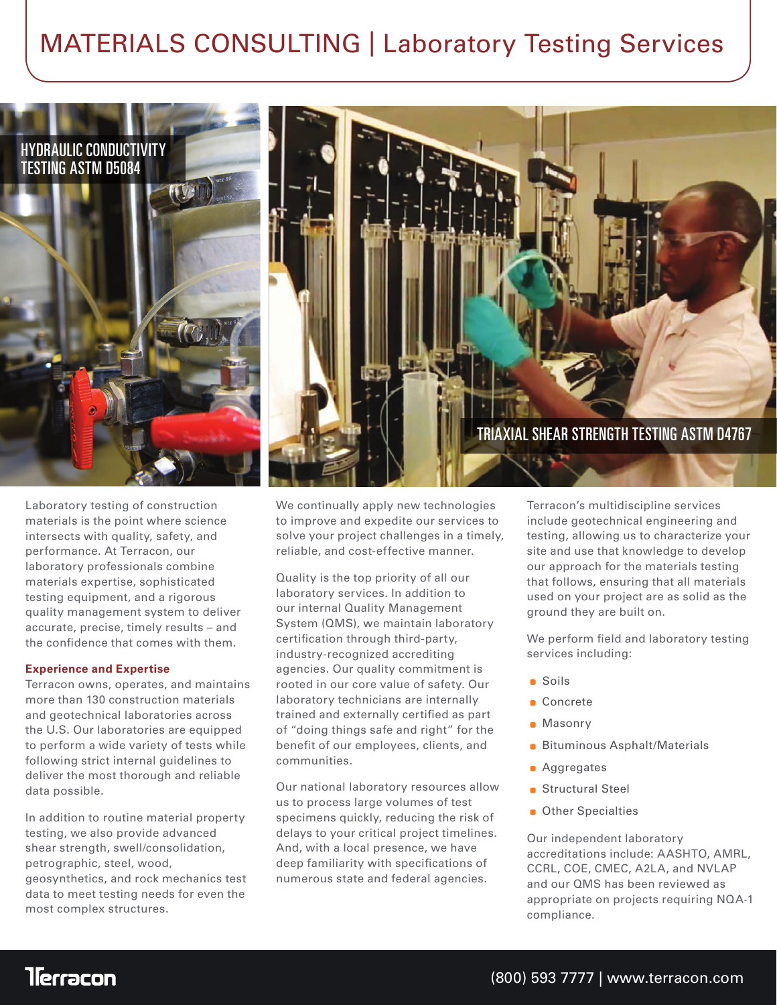## MATERIALS CONSULTING | Laboratory Testing Services



Laboratory testing of construction materials is the point where science intersects with quality, safety, and performance. At Terracon, our laboratory professionals combine materials expertise, sophisticated testing equipment, and a rigorous quality management system to deliver accurate, precise, timely results – and the confidence that comes with them.

#### **Experience and Expertise**

Terracon owns, operates, and maintains more than 130 construction materials and geotechnical laboratories across the U.S. Our laboratories are equipped to perform a wide variety of tests while following strict internal guidelines to deliver the most thorough and reliable data possible.

In addition to routine material property testing, we also provide advanced shear strength, swell/consolidation, petrographic, steel, wood, geosynthetics, and rock mechanics test data to meet testing needs for even the most complex structures.

We continually apply new technologies to improve and expedite our services to solve your project challenges in a timely, reliable, and cost-effective manner.

Quality is the top priority of all our laboratory services. In addition to our internal Quality Management System (QMS), we maintain laboratory certification through third-party, industry-recognized accrediting agencies. Our quality commitment is rooted in our core value of safety. Our laboratory technicians are internally trained and externally certified as part of "doing things safe and right" for the benefit of our employees, clients, and communities.

Our national laboratory resources allow us to process large volumes of test specimens quickly, reducing the risk of delays to your critical project timelines. And, with a local presence, we have deep familiarity with specifications of numerous state and federal agencies.

Terracon's multidiscipline services include geotechnical engineering and testing, allowing us to characterize your site and use that knowledge to develop our approach for the materials testing that follows, ensuring that all materials used on your project are as solid as the ground they are built on.

We perform field and laboratory testing services including:

- Soils
- Concrete
- Masonry
- **Bituminous Asphalt/Materials**
- **Aggregates**
- Structural Steel ä.
- **Other Specialties**

Our independent laboratory accreditations include: AASHTO, AMRL, CCRL, COE, CMEC, A2LA, and NVLAP and our QMS has been reviewed as appropriate on projects requiring NQA-1 compliance.